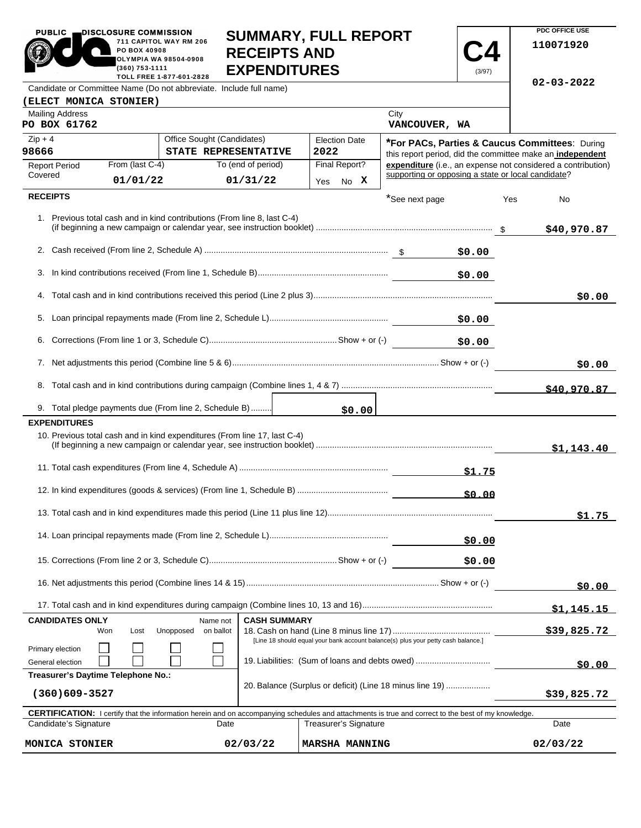| PUBLIC .                                                           | DISCLOSURE COMMISSION<br>PO BOX 40908<br>(360) 753-1111 | 711 CAPITOL WAY RM 206<br><b>OLYMPIA WA 98504-0908</b><br>TOLL FREE 1-877-601-2828 | <b>RECEIPTS AND</b><br><b>EXPENDITURES</b>                                                     | <b>SUMMARY, FULL REPORT</b>                                                                                                                                                         |                                                    | (3/97) |     | PDC OFFICE USE<br>110071920                                  |
|--------------------------------------------------------------------|---------------------------------------------------------|------------------------------------------------------------------------------------|------------------------------------------------------------------------------------------------|-------------------------------------------------------------------------------------------------------------------------------------------------------------------------------------|----------------------------------------------------|--------|-----|--------------------------------------------------------------|
| Candidate or Committee Name (Do not abbreviate. Include full name) |                                                         |                                                                                    |                                                                                                |                                                                                                                                                                                     |                                                    |        |     | $02 - 03 - 2022$                                             |
| (ELECT MONICA STONIER)<br><b>Mailing Address</b>                   |                                                         |                                                                                    |                                                                                                |                                                                                                                                                                                     | City                                               |        |     |                                                              |
| PO BOX 61762                                                       |                                                         |                                                                                    |                                                                                                |                                                                                                                                                                                     | VANCOUVER, WA                                      |        |     |                                                              |
| $Zip + 4$                                                          |                                                         | Office Sought (Candidates)                                                         |                                                                                                | <b>Election Date</b>                                                                                                                                                                |                                                    |        |     | *For PACs, Parties & Caucus Committees: During               |
| 98666                                                              |                                                         | STATE REPRESENTATIVE                                                               |                                                                                                | 2022                                                                                                                                                                                |                                                    |        |     | this report period, did the committee make an independent    |
| <b>Report Period</b><br>Covered                                    | From (last C-4)                                         |                                                                                    | To (end of period)                                                                             | Final Report?                                                                                                                                                                       | supporting or opposing a state or local candidate? |        |     | expenditure (i.e., an expense not considered a contribution) |
|                                                                    | 01/01/22                                                |                                                                                    | 01/31/22                                                                                       | Yes No X                                                                                                                                                                            |                                                    |        |     |                                                              |
| <b>RECEIPTS</b>                                                    |                                                         |                                                                                    |                                                                                                |                                                                                                                                                                                     | *See next page                                     |        | Yes | <b>No</b>                                                    |
|                                                                    |                                                         |                                                                                    | 1. Previous total cash and in kind contributions (From line 8, last C-4)                       |                                                                                                                                                                                     |                                                    |        |     | \$40,970.87                                                  |
|                                                                    |                                                         |                                                                                    |                                                                                                |                                                                                                                                                                                     |                                                    | \$0.00 |     |                                                              |
| 3.                                                                 |                                                         |                                                                                    |                                                                                                |                                                                                                                                                                                     |                                                    | \$0.00 |     |                                                              |
|                                                                    |                                                         |                                                                                    |                                                                                                |                                                                                                                                                                                     |                                                    |        |     | \$0.00                                                       |
| 5.                                                                 |                                                         |                                                                                    |                                                                                                |                                                                                                                                                                                     |                                                    |        |     |                                                              |
| 6.                                                                 |                                                         |                                                                                    |                                                                                                |                                                                                                                                                                                     |                                                    | \$0.00 |     |                                                              |
|                                                                    |                                                         |                                                                                    |                                                                                                |                                                                                                                                                                                     |                                                    |        |     | \$0.00                                                       |
| 8.                                                                 |                                                         |                                                                                    |                                                                                                |                                                                                                                                                                                     |                                                    |        |     | \$40,970.87                                                  |
|                                                                    |                                                         | 9. Total pledge payments due (From line 2, Schedule B)                             |                                                                                                | \$0.00                                                                                                                                                                              |                                                    |        |     |                                                              |
| <b>EXPENDITURES</b>                                                |                                                         |                                                                                    |                                                                                                |                                                                                                                                                                                     |                                                    |        |     |                                                              |
|                                                                    |                                                         |                                                                                    | 10. Previous total cash and in kind expenditures (From line 17, last C-4)                      |                                                                                                                                                                                     |                                                    |        |     | \$1,143.40                                                   |
|                                                                    |                                                         |                                                                                    |                                                                                                |                                                                                                                                                                                     |                                                    | \$1.75 |     |                                                              |
|                                                                    |                                                         |                                                                                    |                                                                                                |                                                                                                                                                                                     |                                                    | \$0.00 |     |                                                              |
|                                                                    |                                                         |                                                                                    |                                                                                                |                                                                                                                                                                                     |                                                    |        |     | \$1.75                                                       |
|                                                                    |                                                         |                                                                                    |                                                                                                |                                                                                                                                                                                     |                                                    | \$0.00 |     |                                                              |
|                                                                    |                                                         |                                                                                    |                                                                                                |                                                                                                                                                                                     |                                                    | \$0.00 |     |                                                              |
|                                                                    |                                                         |                                                                                    |                                                                                                |                                                                                                                                                                                     |                                                    |        |     | \$0.00                                                       |
|                                                                    |                                                         |                                                                                    |                                                                                                |                                                                                                                                                                                     |                                                    |        |     | <u>\$1,145.15</u>                                            |
| <b>CANDIDATES ONLY</b>                                             |                                                         | Name not                                                                           | <b>CASH SUMMARY</b>                                                                            |                                                                                                                                                                                     |                                                    |        |     |                                                              |
| Won                                                                | Lost                                                    | Unopposed                                                                          | on ballot<br>[Line 18 should equal your bank account balance(s) plus your petty cash balance.] |                                                                                                                                                                                     |                                                    |        |     | \$39,825.72                                                  |
| Primary election<br>General election                               |                                                         |                                                                                    |                                                                                                | 19. Liabilities: (Sum of loans and debts owed)                                                                                                                                      |                                                    | \$0.00 |     |                                                              |
| Treasurer's Daytime Telephone No.:                                 |                                                         |                                                                                    |                                                                                                |                                                                                                                                                                                     |                                                    |        |     |                                                              |
| $(360)609 - 3527$                                                  |                                                         |                                                                                    |                                                                                                | 20. Balance (Surplus or deficit) (Line 18 minus line 19)                                                                                                                            |                                                    |        |     | \$39,825.72                                                  |
| Candidate's Signature                                              |                                                         | Date                                                                               |                                                                                                | <b>CERTIFICATION:</b> I certify that the information herein and on accompanying schedules and attachments is true and correct to the best of my knowledge.<br>Treasurer's Signature |                                                    |        |     | Date                                                         |
| MONICA STONIER                                                     |                                                         |                                                                                    | 02/03/22                                                                                       | <b>MARSHA MANNING</b>                                                                                                                                                               |                                                    |        |     | 02/03/22                                                     |